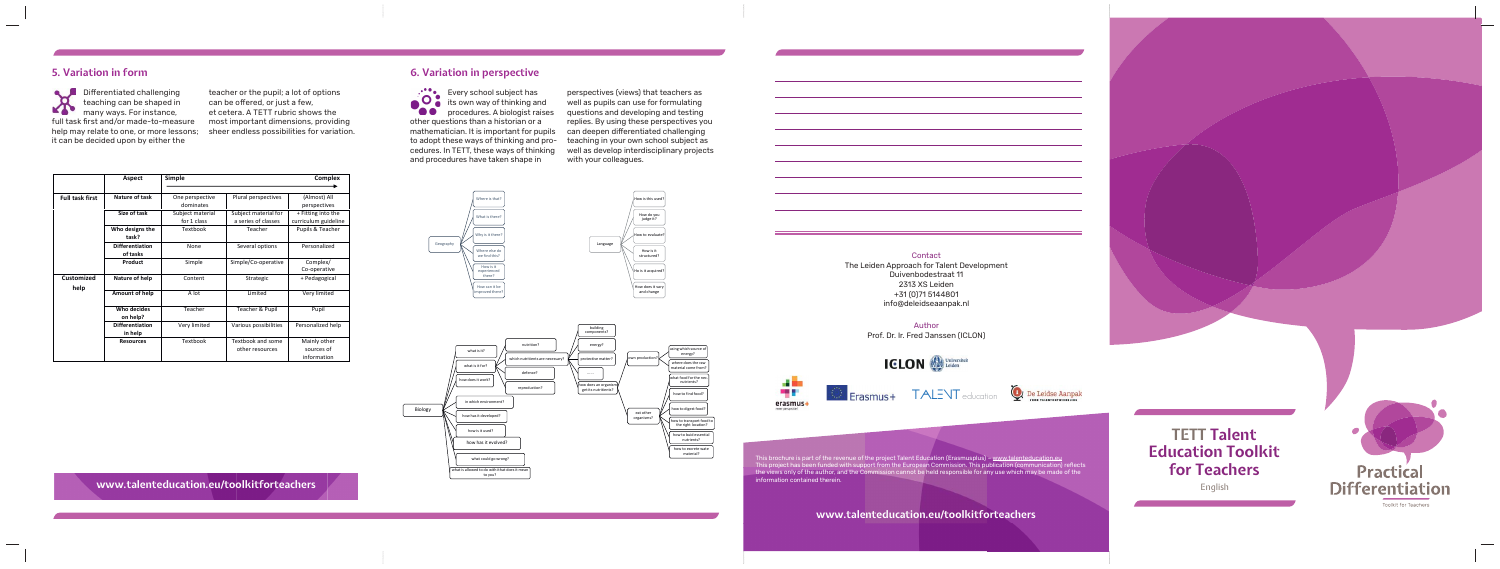This brochure is part of the revenue of the project Talent Education (Erasmusplus) – <u>www.talenteducation.eu</u> This project has been funded with support from the European Commission. This publication (communication) reflects the views only of the author, and the Commission cannot be held responsible for any use which may be made of the information contained therein.

**TETT Talent Education Toolkit for Teachers** English



### Contact The Leiden Approach for Talent Development Duivenbodestraat 11 2313 XS Leiden +31 (0)71 5144801 info@deleidseaanpak.nl

Author Prof. Dr. Ir. Fred Janssen (ICLON)

ahool ou Every school subject has  $\bullet$  its own way of thinking and uy u **OO** procedures. A biologist raises other questions than a historian or a mathematician. It is important for pupils to adopt these ways of thinking and procedures. In TETT, these ways of thinking and procedures have taken shape in

TALENT



education

TALENT



**www.talenteducation.eu/toolkitforteachers**

Differentiated challenging teaching can be shaped in KA many ways. For instance, many ways. For instance,<br>full task first and/or made-to-measure help may relate to one, or more lessons; sheer endless possibilities for variation. it can be decided upon by either the

## **5. Variation in form 6. Variation in perspective** How do you judge it?

 $\mathcal{H}(\mathcal{A})$  is the set of  $\mathcal{H}(\mathcal{A})$ 

perspectives (views) that teachers as well as pupils can use for formulating questions and developing and testing replies. By using these perspectives you can deepen differentiated challenging teaching in your own school subject as well as develop interdisciplinary projects with your colleagues.



what is it? what is it for

ow does it wo

in which en how has it developed? how is it used? how has it evolved? what could go wrong? what is allowed to do with ithat does it mean<br>to you?

nutrition? which nutritients are necessary?

building components? energy? protective matter? ...... w does an organ get its nutritients?





 $\mathbb{R}$  where  $\mathbb{R}$ 

g which sour energy? here does the ray aterial come fron

at food for the n nutrients? how to find food w to digest foo how to transport food to<br>the right location? how to buid essential<br>nutrients? how to excrete wate<br>material?

own production?

at other<br>ganisms?

eat other<br>organisms?

utritients?

teacher or the pupil; a lot of options can be offered, or just a few, et cetera. A TETT rubric shows the most important dimensions, providing

|                        | Aspect                             | Simple                          |                                             | Complex                                    |
|------------------------|------------------------------------|---------------------------------|---------------------------------------------|--------------------------------------------|
| <b>Full task first</b> | Nature of task                     | One perspective<br>dominates    | Plural perspectives                         | (Almost) All<br>perspectives               |
|                        | Size of task                       | Subject material<br>for 1 class | Subject material for<br>a series of classes | + Fitting into the<br>curriculum guideline |
|                        | Who designs the<br>task?           | Textbook                        | Teacher                                     | Pupils & Teacher                           |
|                        | <b>Differentiation</b><br>of tasks | None                            | Several options                             | Personalized                               |
|                        | Product                            | Simple                          | Simple/Co-operative                         | Complex/<br>Co-operative                   |
| Customized<br>help     | Nature of help                     | Content                         | Strategic                                   | + Pedagogical                              |
|                        | Amount of help                     | A lot                           | Limited                                     | Very limited                               |
|                        | Who decides<br>on help?            | Teacher                         | Teacher & Pupil                             | Pupil                                      |
|                        | <b>Differentiation</b><br>in help  | Very limited                    | Various possibilities                       | Personalized help                          |
|                        | <b>Resources</b>                   | Textbook                        | Textbook and some<br>other resources        | Mainly other<br>sources of<br>information  |

**www.talenteducation.eu/toolkitforteachers**

Biology

defence? reproduction?